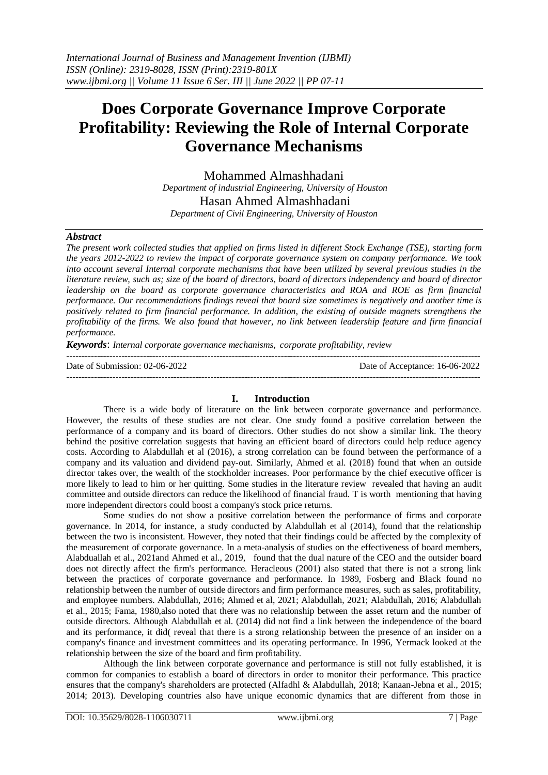# **Does Corporate Governance Improve Corporate Profitability: Reviewing the Role of Internal Corporate Governance Mechanisms**

Mohammed Almashhadani *Department of industrial Engineering, University of Houston* Hasan Ahmed Almashhadani *Department of Civil Engineering, University of Houston*

### *Abstract*

*The present work collected studies that applied on firms listed in different Stock Exchange (TSE), starting form the years 2012-2022 to review the impact of corporate governance system on company performance. We took into account several Internal corporate mechanisms that have been utilized by several previous studies in the literature review, such as; size of the board of directors, board of directors independency and board of director leadership on the board as corporate governance characteristics and ROA and ROE as firm financial performance. Our recommendations findings reveal that board size sometimes is negatively and another time is positively related to firm financial performance. In addition, the existing of outside magnets strengthens the profitability of the firms. We also found that however, no link between leadership feature and firm financial performance.*

*Keywords*: *Internal corporate governance mechanisms, corporate profitability, review*

| Date of Submission: $02-06-2022$ | Date of Acceptance: 16-06-2022 |
|----------------------------------|--------------------------------|
|                                  |                                |

## **I. Introduction**

There is a wide body of literature on the link between corporate governance and performance. However, the results of these studies are not clear. One study found a positive correlation between the performance of a company and its board of directors. Other studies do not show a similar link. The theory behind the positive correlation suggests that having an efficient board of directors could help reduce agency costs. According to Alabdullah et al (2016), a strong correlation can be found between the performance of a company and its valuation and dividend pay-out. Similarly, Ahmed et al. (2018) found that when an outside director takes over, the wealth of the stockholder increases. Poor performance by the chief executive officer is more likely to lead to him or her quitting. Some studies in the literature review revealed that having an audit committee and outside directors can reduce the likelihood of financial fraud. T is worth mentioning that having more independent directors could boost a company's stock price returns.

Some studies do not show a positive correlation between the performance of firms and corporate governance. In 2014, for instance, a study conducted by Alabdullah et al (2014), found that the relationship between the two is inconsistent. However, they noted that their findings could be affected by the complexity of the measurement of corporate governance. In a meta-analysis of studies on the effectiveness of board members, Alabduallah et al., 2021and Ahmed et al., 2019, found that the dual nature of the CEO and the outsider board does not directly affect the firm's performance. Heracleous (2001) also stated that there is not a strong link between the practices of corporate governance and performance. In 1989, Fosberg and Black found no relationship between the number of outside directors and firm performance measures, such as sales, profitability, and employee numbers. Alabdullah, 2016; Ahmed et al, 2021; Alabdullah, 2021; Alabdullah, 2016; Alabdullah et al., 2015; Fama, 1980,also noted that there was no relationship between the asset return and the number of outside directors. Although Alabdullah et al. (2014) did not find a link between the independence of the board and its performance, it did( reveal that there is a strong relationship between the presence of an insider on a company's finance and investment committees and its operating performance. In 1996, Yermack looked at the relationship between the size of the board and firm profitability.

Although the link between corporate governance and performance is still not fully established, it is common for companies to establish a board of directors in order to monitor their performance. This practice ensures that the company's shareholders are protected (Alfadhl & Alabdullah, 2018; Kanaan-Jebna et al., 2015; 2014; 2013). Developing countries also have unique economic dynamics that are different from those in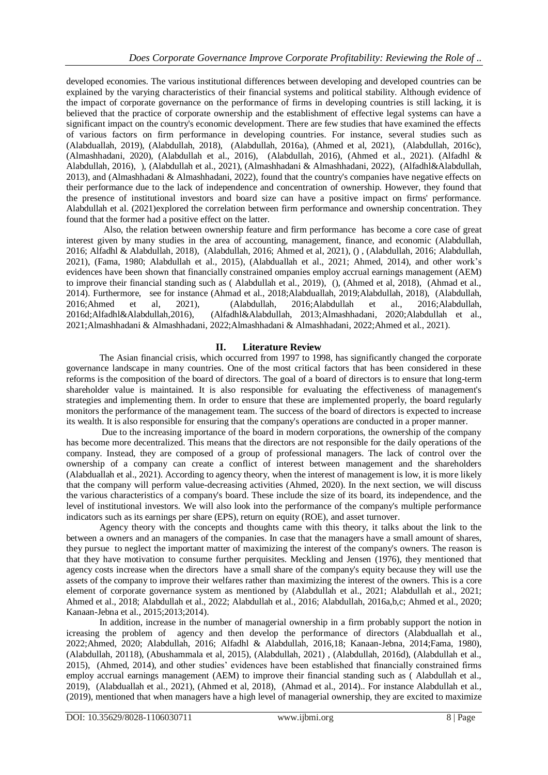developed economies. The various institutional differences between developing and developed countries can be explained by the varying characteristics of their financial systems and political stability. Although evidence of the impact of corporate governance on the performance of firms in developing countries is still lacking, it is believed that the practice of corporate ownership and the establishment of effective legal systems can have a significant impact on the country's economic development. There are few studies that have examined the effects of various factors on firm performance in developing countries. For instance, several studies such as (Alabduallah, 2019), (Alabdullah, 2018), (Alabdullah, 2016a), (Ahmed et al, 2021), (Alabdullah, 2016c), (Almashhadani, 2020), (Alabdullah et al., 2016), (Alabdullah, 2016), (Ahmed et al., 2021). (Alfadhl & Alabdullah, 2016), ), (Alabdullah et al., 2021), (Almashhadani & Almashhadani, 2022), (Alfadhl&Alabdullah, 2013), and (Almashhadani & Almashhadani, 2022), found that the country's companies have negative effects on their performance due to the lack of independence and concentration of ownership. However, they found that the presence of institutional investors and board size can have a positive impact on firms' performance. Alabdullah et al. (2021)explored the correlation between firm performance and ownership concentration. They found that the former had a positive effect on the latter.

Also, the relation between ownership feature and firm performance has become a core case of great interest given by many studies in the area of accounting, management, finance, and economic (Alabdullah, 2016; Alfadhl & Alabdullah, 2018), (Alabdullah, 2016; Ahmed et al, 2021), () , (Alabdullah, 2016; Alabdullah, 2021), (Fama, 1980; Alabdullah et al., 2015), (Alabduallah et al., 2021; Ahmed, 2014), and other work's evidences have been shown that financially constrained ompanies employ accrual earnings management (AEM) to improve their financial standing such as ( Alabdullah et al., 2019), (), (Ahmed et al, 2018), (Ahmad et al., 2014). Furthermore, see for instance (Ahmad et al., 2018;Alabduallah, 2019;Alabdullah, 2018), (Alabdullah, 2016;Ahmed et al, 2021), (Alabdullah, 2016;Alabdullah et al., 2016;Alabdullah, 2016d;Alfadhl&Alabdullah,2016), (Alfadhl&Alabdullah, 2013;Almashhadani, 2020;Alabdullah et al., 2021;Almashhadani & Almashhadani, 2022;Almashhadani & Almashhadani, 2022;Ahmed et al., 2021).

# **II. Literature Review**

The Asian financial crisis, which occurred from 1997 to 1998, has significantly changed the corporate governance landscape in many countries. One of the most critical factors that has been considered in these reforms is the composition of the board of directors. The goal of a board of directors is to ensure that long-term shareholder value is maintained. It is also responsible for evaluating the effectiveness of management's strategies and implementing them. In order to ensure that these are implemented properly, the board regularly monitors the performance of the management team. The success of the board of directors is expected to increase its wealth. It is also responsible for ensuring that the company's operations are conducted in a proper manner.

Due to the increasing importance of the board in modern corporations, the ownership of the company has become more decentralized. This means that the directors are not responsible for the daily operations of the company. Instead, they are composed of a group of professional managers. The lack of control over the ownership of a company can create a conflict of interest between management and the shareholders (Alabduallah et al., 2021). According to agency theory, when the interest of management is low, it is more likely that the company will perform value-decreasing activities (Ahmed, 2020). In the next section, we will discuss the various characteristics of a company's board. These include the size of its board, its independence, and the level of institutional investors. We will also look into the performance of the company's multiple performance indicators such as its earnings per share (EPS), return on equity (ROE), and asset turnover.

Agency theory with the concepts and thoughts came with this theory, it talks about the link to the between a owners and an managers of the companies. In case that the managers have a small amount of shares, they pursue to neglect the important matter of maximizing the interest of the company's owners. The reason is that they have motivation to consume further perquisites. Meckling and Jensen (1976), they mentioned that agency costs increase when the directors have a small share of the company's equity because they will use the assets of the company to improve their welfares rather than maximizing the interest of the owners. This is a core element of corporate governance system as mentioned by (Alabdullah et al., 2021; Alabdullah et al., 2021; Ahmed et al., 2018; Alabdullah et al., 2022; Alabdullah et al., 2016; Alabdullah, 2016a,b,c; Ahmed et al., 2020; Kanaan-Jebna et al., 2015;2013;2014).

In addition, increase in the number of managerial ownership in a firm probably support the notion in icreasing the problem of agency and then develop the performance of directors (Alabduallah et al., 2022;Ahmed, 2020; Alabdullah, 2016; Alfadhl & Alabdullah, 2016,18; Kanaan-Jebna, 2014;Fama, 1980), (Alabdullah, 20118), (Abushammala et al, 2015), (Alabdullah, 2021) , (Alabdullah, 2016d), (Alabdullah et al., 2015), (Ahmed, 2014), and other studies' evidences have been established that financially constrained firms employ accrual earnings management (AEM) to improve their financial standing such as ( Alabdullah et al., 2019), (Alabduallah et al., 2021), (Ahmed et al, 2018), (Ahmad et al., 2014).. For instance Alabdullah et al., (2019), mentioned that when managers have a high level of managerial ownership, they are excited to maximize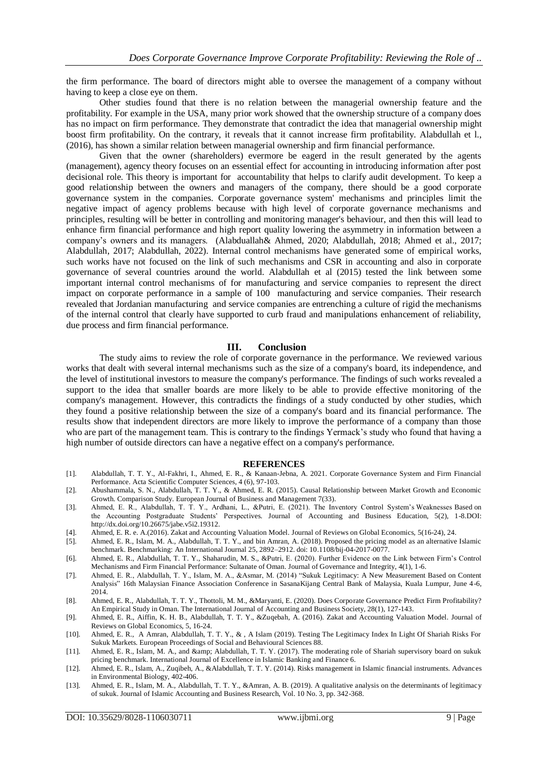the firm performance. The board of directors might able to oversee the management of a company without having to keep a close eye on them.

Other studies found that there is no relation between the managerial ownership feature and the profitability. For example in the USA, many prior work showed that the ownership structure of a company does has no impact on firm performance. They demonstrate that contradict the idea that managerial ownership might boost firm profitability. On the contrary, it reveals that it cannot increase firm profitability. Alabdullah et l., (2016), has shown a similar relation between managerial ownership and firm financial performance.

Given that the owner (shareholders) evermore be eagerd in the result generated by the agents (management), agency theory focuses on an essential effect for accounting in introducing information after post decisional role. This theory is important for accountability that helps to clarify audit development. To keep a good relationship between the owners and managers of the company, there should be a good corporate governance system in the companies. Corporate governance system' mechanisms and principles limit the negative impact of agency problems because with high level of corporate governance mechanisms and principles, resulting will be better in controlling and monitoring manager's behaviour, and then this will lead to enhance firm financial performance and high report quality lowering the asymmetry in information between a company's owners and its managers. (Alabduallah& Ahmed, 2020; Alabdullah, 2018; Ahmed et al., 2017; Alabdullah, 2017; Alabdullah, 2022). Internal control mechanisms have generated some of empirical works, such works have not focused on the link of such mechanisms and CSR in accounting and also in corporate governance of several countries around the world. Alabdullah et al (2015) tested the link between some important internal control mechanisms of for manufacturing and service companies to represent the direct impact on corporate performance in a sample of 100 manufacturing and service companies. Their research revealed that Jordanian manufacturing and service companies are entrenching a culture of rigid the mechanisms of the internal control that clearly have supported to curb fraud and manipulations enhancement of reliability, due process and firm financial performance.

#### **III. Conclusion**

The study aims to review the role of corporate governance in the performance. We reviewed various works that dealt with several internal mechanisms such as the size of a company's board, its independence, and the level of institutional investors to measure the company's performance. The findings of such works revealed a support to the idea that smaller boards are more likely to be able to provide effective monitoring of the company's management. However, this contradicts the findings of a study conducted by other studies, which they found a positive relationship between the size of a company's board and its financial performance. The results show that independent directors are more likely to improve the performance of a company than those who are part of the management team. This is contrary to the findings Yermack's study who found that having a high number of outside directors can have a negative effect on a company's performance.

#### **REFERENCES**

- [1]. Alabdullah, T. T. Y., Al-Fakhri, I., Ahmed, E. R., & Kanaan-Jebna, A. 2021. Corporate Governance System and Firm Financial Performance. Acta Scientific Computer Sciences, 4 (6), 97-103.
- [2]. Abushammala, S. N., Alabdullah, T. T. Y., & Ahmed, E. R. (2015). Causal Relationship between Market Growth and Economic Growth. Comparison Study. European Journal of Business and Management 7(33).
- [3]. Ahmed, E. R., Alabdullah, T. T. Y., Ardhani, L., &Putri, E. (2021). The Inventory Control System's Weaknesses Based on the Accounting Postgraduate Students' Perspectives. Journal of Accounting and Business Education, 5(2), 1-8.DOI: http://dx.doi.org/10.26675/jabe.v5i2.19312.
- [4]. Ahmed, E. R. e. A.(2016). Zakat and Accounting Valuation Model. Journal of Reviews on Global Economics, 5(16-24), 24.
- [5]. Ahmed, E. R., Islam, M. A., Alabdullah, T. T. Y., and bin Amran, A. (2018). Proposed the pricing model as an alternative Islamic benchmark. Benchmarking: An International Journal 25, 2892–2912. doi: 10.1108/bij-04-2017-0077.
- [6]. Ahmed, E. R., Alabdullah, T. T. Y., Shaharudin, M. S., &Putri, E. (2020). Further Evidence on the Link between Firm's Control Mechanisms and Firm Financial Performance: Sultanate of Oman. Journal of Governance and Integrity, 4(1), 1-6.
- [7]. Ahmed, E. R., Alabdullah, T. Y., Islam, M. A., &Asmar, M. (2014) "Sukuk Legitimacy: A New Measurement Based on Content Analysis" 16th Malaysian Finance Association Conference in SasanaKijang Central Bank of Malaysia, Kuala Lumpur, June 4-6, 2014.
- [8]. Ahmed, E. R., Alabdullah, T. T. Y., Thottoli, M. M., &Maryanti, E. (2020). Does Corporate Governance Predict Firm Profitability? An Empirical Study in Oman. The International Journal of Accounting and Business Society, 28(1), 127-143.
- [9]. Ahmed, E. R., Aiffin, K. H. B., Alabdullah, T. T. Y., &Zuqebah, A. (2016). Zakat and Accounting Valuation Model. Journal of Reviews on Global Economics, 5, 16-24.
- [10]. Ahmed, E. R., A Amran, Alabdullah, T. T. Y., & , A Islam (2019). Testing The Legitimacy Index In Light Of Shariah Risks For Sukuk Markets. European Proceedings of Social and Behavioural Sciences 88.
- [11]. Ahmed, E. R., Islam, M. A., and & amp; Alabdullah, T. T. Y. (2017). The moderating role of Shariah supervisory board on sukuk pricing benchmark. International Journal of Excellence in Islamic Banking and Finance 6.
- [12]. Ahmed, E. R., Islam, A., Zuqibeh, A., &Alabdullah, T. T. Y. (2014). Risks management in Islamic financial instruments. Advances in Environmental Biology, 402-406.
- [13]. Ahmed, E. R., Islam, M. A., Alabdullah, T. T. Y., &Amran, A. B. (2019). A qualitative analysis on the determinants of legitimacy of sukuk. Journal of Islamic Accounting and Business Research, Vol. 10 No. 3, pp. 342-368.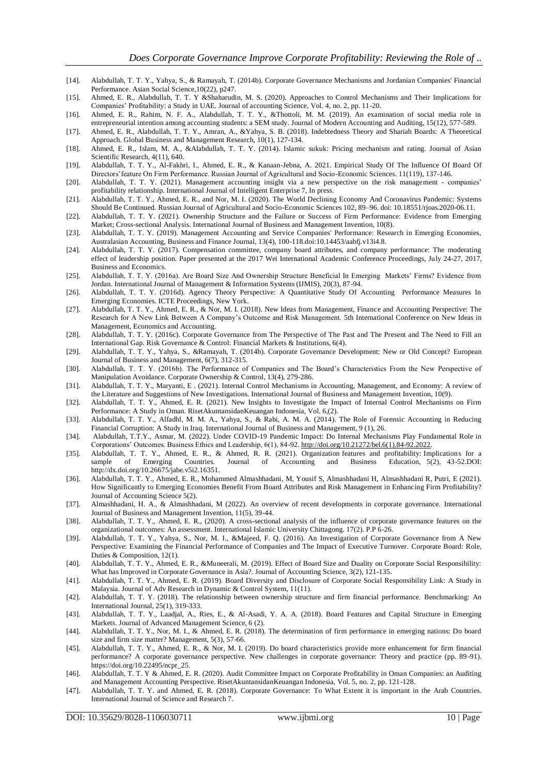- [14]. Alabdullah, T. T. Y., Yahya, S., & Ramayah, T. (2014b). Corporate Governance Mechanisms and Jordanian Companies' Financial Performance. Asian Social Science,10(22), p247.
- [15]. Ahmed, E. R., Alabdullah, T. T. Y &Shaharudin, M. S. (2020). Approaches to Control Mechanisms and Their Implications for Companies' Profitability: a Study in UAE. Journal of accounting Science, Vol. 4, no. 2, pp. 11-20.
- [16]. Ahmed, E. R., Rahim, N. F. A., Alabdullah, T. T. Y., &Thottoli, M. M. (2019). An examination of social media role in entrepreneurial intention among accounting students: a SEM study. Journal of Modern Accounting and Auditing, 15(12), 577-589.
- [17]. Ahmed, E. R., Alabdullah, T. T. Y., Amran, A., &Yahya, S. B. (2018). Indebtedness Theory and Shariah Boards: A Theoretical Approach. Global Business and Management Research, 10(1), 127-134.
- [18]. Ahmed, E. R., Islam, M. A., &Alabdullah, T. T. Y. (2014). Islamic sukuk: Pricing mechanism and rating. Journal of Asian Scientific Research, 4(11), 640.
- [19]. Alabdullah, T. T. Y., Al-Fakhri, I., Ahmed, E. R., & Kanaan-Jebna, A. 2021. Empirical Study Of The Influence Of Board Of Directors'feature On Firm Performance. Russian Journal of Agricultural and Socio-Economic Sciences. 11(119), 137-146.
- [20]. Alabdullah, T. T. Y. (2021). Management accounting insight via a new perspective on the risk management companies' profitability relationship. International Journal of Intelligent Enterprise 7, In press.
- [21]. Alabdullah, T. T. Y., Ahmed, E. R., and Nor, M. I. (2020). The World Declining Economy And Coronavirus Pandemic: Systems Should Be Continued. Russian Journal of Agricultural and Socio-Economic Sciences 102, 89–96. doi: 10.18551/rjoas.2020-06.11.
- [22]. Alabdullah, T. T. Y. (2021). Ownership Structure and the Failure or Success of Firm Performance: Evidence from Emerging Market; Cross-sectional Analysis. International Journal of Business and Management Invention, 10(8).
- [23]. Alabdullah, T. T. Y. (2019). Management Accounting and Service Companies' Performance: Research in Emerging Economies, Australasian Accounting, Business and Finance Journal, 13(4), 100-118.doi:10.14453/aabfj.v13i4.8.
- [24]. Alabdullah, T. T. Y. (2017). Compensation committee, company board attributes, and company performance: The moderating effect of leadership position. Paper presented at the 2017 Wei International Academic Conference Proceedings, July 24-27, 2017, Business and Economics.
- [25]. Alabdullah, T. T. Y. (2016a). Are Board Size And Ownership Structure Beneficial In Emerging Markets' Firms? Evidence from Jordan. International Journal of Management & Information Systems (IJMIS), 20(3), 87-94.
- [26]. Alabdullah, T. T. Y. (2016d). Agency Theory Perspective: A Quantitative Study Of Accounting Performance Measures In Emerging Economies. ICTE Proceedings, New York.
- [27]. Alabdullah, T. T. Y., Ahmed, E. R., & Nor, M. I. (2018). New Ideas from Management, Finance and Accounting Perspective: The Research for A New Link Between A Company's Outcome and Risk Management. 5th International Conference on New Ideas in Management, Economics and Accounting.
- [28]. Alabdullah, T. T. Y. (2016c). Corporate Governance from The Perspective of The Past and The Present and The Need to Fill an International Gap. Risk Governance & Control: Financial Markets & Institutions, 6(4).
- [29]. Alabdullah, T. T. Y., Yahya, S., &Ramayah, T. (2014b). Corporate Governance Development: New or Old Concept? European Journal of Business and Management, 6(7), 312-315.
- [30]. Alabdullah, T. T. Y. (2016b). The Performance of Companies and The Board's Characteristics From the New Perspective of Manipulation Avoidance. Corporate Ownership & Control, 13(4), 279-286.
- [31]. Alabdullah, T. T. Y., Maryanti, E . (2021). Internal Control Mechanisms in Accounting, Management, and Economy: A review of the Literature and Suggestions of New Investigations. International Journal of Business and Management Invention, 10(9).
- [32]. Alabdullah, T. T. Y., Ahmed, E. R. (2021). New Insights to Investigate the Impact of Internal Control Mechanisms on Firm Performance: A Study in Oman. RisetAkuntansidanKeuangan Indonesia, Vol. 6,(2).
- [33]. Alabdullah, T. T. Y., Alfadhl, M. M. A., Yahya, S., & Rabi, A. M. A. (2014). The Role of Forensic Accounting in Reducing Financial Corruption: A Study in Iraq. International Journal of Business and Management, 9 (1), 26.
- [34]. Alabdullah, T.T.Y., Asmar, M. (2022). Under COVID-19 Pandemic Impact: Do Internal Mechanisms Play Fundamental Role in Corporations' Outcomes. Business Ethics and Leadership, 6(1), 84-92[. http://doi.org/10.21272/bel.6\(1\).84-92.2022.](http://doi.org/10.21272/bel.6(1).84-92.2022)
- [35]. Alabdullah, T. T. Y., Ahmed, E. R., & Ahmed, R. R. (2021). Organization features and profitability: Implications for a sample of Emerging Countries. Journal of Accounting and Business Education, 5(2), 43-52.DOI: http://dx.doi.org/10.26675/jabe.v5i2.16351.
- [36]. Alabdullah, T. T. Y., Ahmed, E. R., Mohammed Almashhadani, M, Yousif S, Almashhadani H, Almashhadani R, Putri, E (2021). How Significantly to Emerging Economies Benefit From Board Attributes and Risk Management in Enhancing Firm Profitability? Journal of Accounting Science 5(2).
- [37]. Almashhadani, H. A., & Almashhadani, M (2022). An overview of recent developments in corporate governance. International Journal of Business and Management Invention, 11(5), 39-44.
- [38]. Alabdullah, T. T. Y., Ahmed, E. R., (2020). A cross-sectional analysis of the influence of corporate governance features on the organizational outcomes: An assessment. International Islamic University Chittagong. 17(2). P.P 6-26.
- [39]. Alabdullah, T. T. Y., Yahya, S., Nor, M. I., &Majeed, F. Q. (2016). An Investigation of Corporate Governance from A New Perspective: Examining the Financial Performance of Companies and The Impact of Executive Turnover. Corporate Board: Role, Duties & Composition, 12(1).
- [40]. Alabdullah, T. T. Y., Ahmed, E. R., &Muneerali, M. (2019). Effect of Board Size and Duality on Corporate Social Responsibility: What has Improved in Corporate Governance in Asia?. Journal of Accounting Science, 3(2), 121-135.
- [41]. Alabdullah, T. T. Y., Ahmed, E. R. (2019). Board Diversity and Disclosure of Corporate Social Responsibility Link: A Study in Malaysia. Journal of Adv Research in Dynamic & Control System, 11(11).
- [42]. Alabdullah, T. T. Y. (2018). The relationship between ownership structure and firm financial performance. Benchmarking: An International Journal, 25(1), 319-333.
- [43]. Alabdullah, T. T. Y., Laadjal, A., Ries, E., & Al-Asadi, Y. A. A. (2018). Board Features and Capital Structure in Emerging Markets. Journal of Advanced Management Science, 6 (2).
- [44]. Alabdullah, T. T. Y., Nor, M. I., & Ahmed, E. R. (2018). The determination of firm performance in emerging nations: Do board size and firm size matter? Management, 5(3), 57-66.
- [45]. Alabdullah, T. T. Y., Ahmed, E. R., & Nor, M. I. (2019). Do board characteristics provide more enhancement for firm financial performance? A corporate governance perspective. New challenges in corporate governance: Theory and practice (pp. 89 -91). https://doi.org/10.22495/ncpr\_25.
- [46]. Alabdullah, T. T. Y & Ahmed, E. R. (2020). Audit Committee Impact on Corporate Profitability in Oman Companies: an Auditing and Management Accounting Perspective. RisetAkuntansidanKeuangan Indonesia, Vol. 5, no. 2, pp. 121-128.
- [47]. Alabdullah, T. T. Y. and Ahmed, E. R. (2018). Corporate Governance: To What Extent it is important in the Arab Countries. International Journal of Science and Research 7.